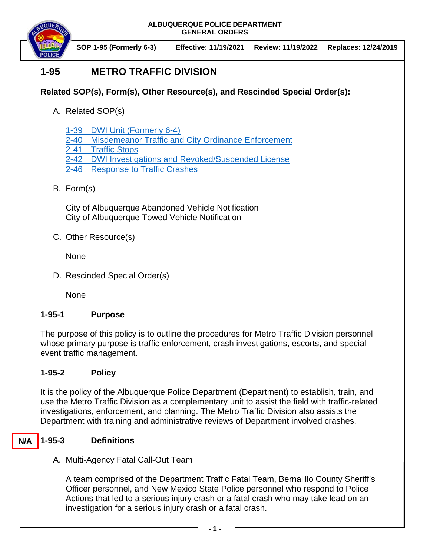**ALBUQUERQUE POLICE DEPARTMENT GENERAL ORDERS**



 **SOP 1-95 (Formerly 6-3) Effective: 11/19/2021 Review: 11/19/2022 Replaces: 12/24/2019**

# **1-95 METRO TRAFFIC DIVISION**

- **Related SOP(s), Form(s), Other Resource(s), and Rescinded Special Order(s):**
	- A. Related SOP(s)

1-39 DWI Unit [\(Formerly 6-4\)](https://powerdms.com/docs/7)

[2-40 Misdemeanor Traffic and City Ordinance Enforcement](https://powerdms.com/docs/101)

[2-41 Traffic Stops](https://powerdms.com/docs/130)

- [2-42 DWI Investigations and Revoked/Suspended License](https://powerdms.com/docs/532)
- [2-46 Response to](https://powerdms.com/docs/1697014) Traffic Crashes
- B. Form(s)

City of Albuquerque Abandoned Vehicle Notification City of Albuquerque Towed Vehicle Notification

C. Other Resource(s)

**None** 

D. Rescinded Special Order(s)

None

## **1-95-1 Purpose**

The purpose of this policy is to outline the procedures for Metro Traffic Division personnel whose primary purpose is traffic enforcement, crash investigations, escorts, and special event traffic management.

## **1-95-2 Policy**

It is the policy of the Albuquerque Police Department (Department) to establish, train, and use the Metro Traffic Division as a complementary unit to assist the field with traffic-related investigations, enforcement, and planning. The Metro Traffic Division also assists the Department with training and administrative reviews of Department involved crashes.

#### **1-95-3 Definitions N/A**

A. Multi-Agency Fatal Call-Out Team

A team comprised of the Department Traffic Fatal Team, Bernalillo County Sheriff's Officer personnel, and New Mexico State Police personnel who respond to Police Actions that led to a serious injury crash or a fatal crash who may take lead on an investigation for a serious injury crash or a fatal crash.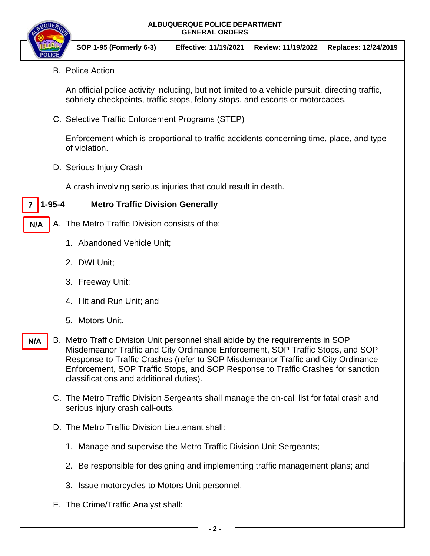## **ALBUQUERQUE POLICE DEPARTMENT GENERAL ORDERS**



- C. The Metro Traffic Division Sergeants shall manage the on-call list for fatal crash and serious injury crash call-outs.
- D. The Metro Traffic Division Lieutenant shall:

classifications and additional duties).

- 1. Manage and supervise the Metro Traffic Division Unit Sergeants;
- 2. Be responsible for designing and implementing traffic management plans; and
- 3. Issue motorcycles to Motors Unit personnel.
- E. The Crime/Traffic Analyst shall: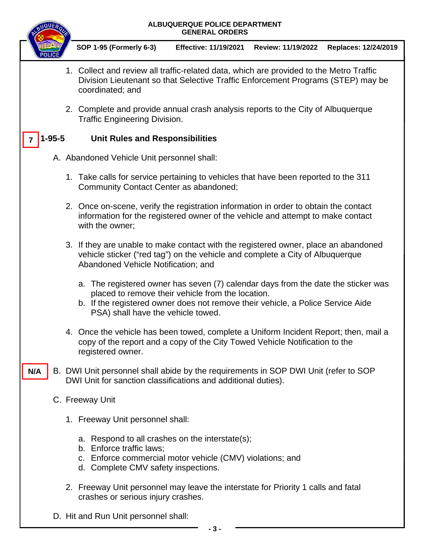| QUE                                        | ALBUQUERQUE POLICE DEPARTMENT<br><b>GENERAL ORDERS</b>                                                                                                                                                                                                          |  |  |  |  |  |  |  |  |  |
|--------------------------------------------|-----------------------------------------------------------------------------------------------------------------------------------------------------------------------------------------------------------------------------------------------------------------|--|--|--|--|--|--|--|--|--|
|                                            | <b>SOP 1-95 (Formerly 6-3)</b><br><b>Effective: 11/19/2021</b><br>Review: 11/19/2022<br>Replaces: 12/24/2019                                                                                                                                                    |  |  |  |  |  |  |  |  |  |
|                                            | 1. Collect and review all traffic-related data, which are provided to the Metro Traffic<br>Division Lieutenant so that Selective Traffic Enforcement Programs (STEP) may be<br>coordinated; and                                                                 |  |  |  |  |  |  |  |  |  |
|                                            | 2. Complete and provide annual crash analysis reports to the City of Albuquerque<br><b>Traffic Engineering Division.</b>                                                                                                                                        |  |  |  |  |  |  |  |  |  |
| $1 - 95 - 5$                               | <b>Unit Rules and Responsibilities</b>                                                                                                                                                                                                                          |  |  |  |  |  |  |  |  |  |
| A. Abandoned Vehicle Unit personnel shall: |                                                                                                                                                                                                                                                                 |  |  |  |  |  |  |  |  |  |
|                                            | 1. Take calls for service pertaining to vehicles that have been reported to the 311<br>Community Contact Center as abandoned;                                                                                                                                   |  |  |  |  |  |  |  |  |  |
|                                            | 2. Once on-scene, verify the registration information in order to obtain the contact<br>information for the registered owner of the vehicle and attempt to make contact<br>with the owner;                                                                      |  |  |  |  |  |  |  |  |  |
|                                            | 3. If they are unable to make contact with the registered owner, place an abandoned<br>vehicle sticker ("red tag") on the vehicle and complete a City of Albuquerque<br>Abandoned Vehicle Notification; and                                                     |  |  |  |  |  |  |  |  |  |
|                                            | a. The registered owner has seven (7) calendar days from the date the sticker was<br>placed to remove their vehicle from the location.<br>b. If the registered owner does not remove their vehicle, a Police Service Aide<br>PSA) shall have the vehicle towed. |  |  |  |  |  |  |  |  |  |
|                                            | 4. Once the vehicle has been towed, complete a Uniform Incident Report; then, mail a<br>copy of the report and a copy of the City Towed Vehicle Notification to the<br>registered owner.                                                                        |  |  |  |  |  |  |  |  |  |
| N/A                                        | B. DWI Unit personnel shall abide by the requirements in SOP DWI Unit (refer to SOP<br>DWI Unit for sanction classifications and additional duties).                                                                                                            |  |  |  |  |  |  |  |  |  |
|                                            | C. Freeway Unit                                                                                                                                                                                                                                                 |  |  |  |  |  |  |  |  |  |
|                                            | 1. Freeway Unit personnel shall:                                                                                                                                                                                                                                |  |  |  |  |  |  |  |  |  |
|                                            | a. Respond to all crashes on the interstate(s);<br>b. Enforce traffic laws;<br>c. Enforce commercial motor vehicle (CMV) violations; and<br>d. Complete CMV safety inspections.                                                                                 |  |  |  |  |  |  |  |  |  |
|                                            | 2. Freeway Unit personnel may leave the interstate for Priority 1 calls and fatal<br>crashes or serious injury crashes.                                                                                                                                         |  |  |  |  |  |  |  |  |  |
|                                            | D. Hit and Run Unit personnel shall:                                                                                                                                                                                                                            |  |  |  |  |  |  |  |  |  |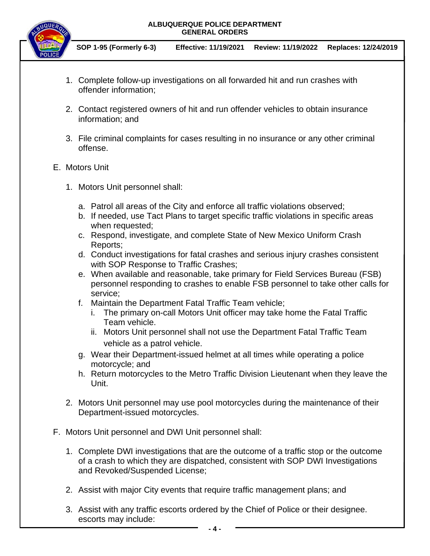### **ALBUQUERQUE POLICE DEPARTMENT GENERAL ORDERS**



 **SOP 1-95 (Formerly 6-3) Effective: 11/19/2021 Review: 11/19/2022 Replaces: 12/24/2019**

- 1. Complete follow-up investigations on all forwarded hit and run crashes with offender information;
- 2. Contact registered owners of hit and run offender vehicles to obtain insurance information; and
- 3. File criminal complaints for cases resulting in no insurance or any other criminal offense.

## E. Motors Unit

- 1. Motors Unit personnel shall:
	- a. Patrol all areas of the City and enforce all traffic violations observed;
	- b. If needed, use Tact Plans to target specific traffic violations in specific areas when requested:
	- c. Respond, investigate, and complete State of New Mexico Uniform Crash Reports;
	- d. Conduct investigations for fatal crashes and serious injury crashes consistent with SOP Response to Traffic Crashes;
	- e. When available and reasonable, take primary for Field Services Bureau (FSB) personnel responding to crashes to enable FSB personnel to take other calls for service;
	- f. Maintain the Department Fatal Traffic Team vehicle;
		- i. The primary on-call Motors Unit officer may take home the Fatal Traffic Team vehicle.
		- ii. Motors Unit personnel shall not use the Department Fatal Traffic Team vehicle as a patrol vehicle.
	- g. Wear their Department-issued helmet at all times while operating a police motorcycle; and
	- h. Return motorcycles to the Metro Traffic Division Lieutenant when they leave the Unit.
- 2. Motors Unit personnel may use pool motorcycles during the maintenance of their Department-issued motorcycles.
- F. Motors Unit personnel and DWI Unit personnel shall:
	- 1. Complete DWI investigations that are the outcome of a traffic stop or the outcome of a crash to which they are dispatched, consistent with SOP DWI Investigations and Revoked/Suspended License;
	- 2. Assist with major City events that require traffic management plans; and
	- 3. Assist with any traffic escorts ordered by the Chief of Police or their designee. escorts may include: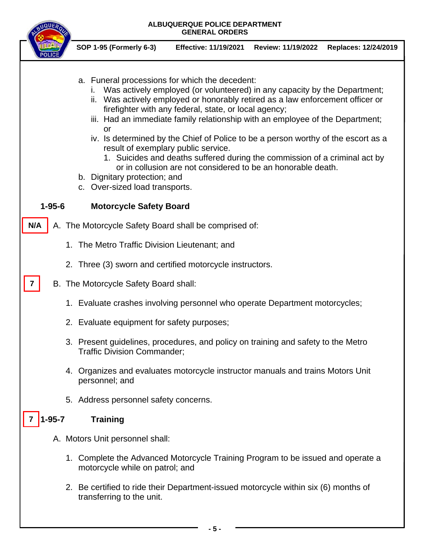|     | ALBUQUERQUE POLICE DEPARTMENT<br><b>GENERAL ORDERS</b> |  |                                                                                                                                                                                                                                                                                                                                                                                                                                                                                                                                                                                                                                                 |                              |                                                              |                      |  |  |  |
|-----|--------------------------------------------------------|--|-------------------------------------------------------------------------------------------------------------------------------------------------------------------------------------------------------------------------------------------------------------------------------------------------------------------------------------------------------------------------------------------------------------------------------------------------------------------------------------------------------------------------------------------------------------------------------------------------------------------------------------------------|------------------------------|--------------------------------------------------------------|----------------------|--|--|--|
|     |                                                        |  | SOP 1-95 (Formerly 6-3)                                                                                                                                                                                                                                                                                                                                                                                                                                                                                                                                                                                                                         | <b>Effective: 11/19/2021</b> | <b>Review: 11/19/2022</b>                                    | Replaces: 12/24/2019 |  |  |  |
|     |                                                        |  | a. Funeral processions for which the decedent:<br>Was actively employed (or volunteered) in any capacity by the Department;<br>İ.<br>ii. Was actively employed or honorably retired as a law enforcement officer or<br>firefighter with any federal, state, or local agency;<br>iii. Had an immediate family relationship with an employee of the Department;<br>or<br>iv. Is determined by the Chief of Police to be a person worthy of the escort as a<br>result of exemplary public service.<br>1. Suicides and deaths suffered during the commission of a criminal act by<br>b. Dignitary protection; and<br>c. Over-sized load transports. |                              | or in collusion are not considered to be an honorable death. |                      |  |  |  |
|     | $1 - 95 - 6$                                           |  | <b>Motorcycle Safety Board</b>                                                                                                                                                                                                                                                                                                                                                                                                                                                                                                                                                                                                                  |                              |                                                              |                      |  |  |  |
| N/A |                                                        |  | A. The Motorcycle Safety Board shall be comprised of:                                                                                                                                                                                                                                                                                                                                                                                                                                                                                                                                                                                           |                              |                                                              |                      |  |  |  |
|     |                                                        |  | 1. The Metro Traffic Division Lieutenant; and                                                                                                                                                                                                                                                                                                                                                                                                                                                                                                                                                                                                   |                              |                                                              |                      |  |  |  |
|     |                                                        |  | 2. Three (3) sworn and certified motorcycle instructors.                                                                                                                                                                                                                                                                                                                                                                                                                                                                                                                                                                                        |                              |                                                              |                      |  |  |  |
|     |                                                        |  | B. The Motorcycle Safety Board shall:                                                                                                                                                                                                                                                                                                                                                                                                                                                                                                                                                                                                           |                              |                                                              |                      |  |  |  |
|     |                                                        |  | 1. Evaluate crashes involving personnel who operate Department motorcycles;                                                                                                                                                                                                                                                                                                                                                                                                                                                                                                                                                                     |                              |                                                              |                      |  |  |  |
|     |                                                        |  | 2. Evaluate equipment for safety purposes;                                                                                                                                                                                                                                                                                                                                                                                                                                                                                                                                                                                                      |                              |                                                              |                      |  |  |  |
|     |                                                        |  | 3. Present guidelines, procedures, and policy on training and safety to the Metro<br><b>Traffic Division Commander;</b>                                                                                                                                                                                                                                                                                                                                                                                                                                                                                                                         |                              |                                                              |                      |  |  |  |
|     |                                                        |  | 4. Organizes and evaluates motorcycle instructor manuals and trains Motors Unit<br>personnel; and                                                                                                                                                                                                                                                                                                                                                                                                                                                                                                                                               |                              |                                                              |                      |  |  |  |
|     |                                                        |  | 5. Address personnel safety concerns.                                                                                                                                                                                                                                                                                                                                                                                                                                                                                                                                                                                                           |                              |                                                              |                      |  |  |  |
|     | $1 - 95 - 7$                                           |  | <b>Training</b>                                                                                                                                                                                                                                                                                                                                                                                                                                                                                                                                                                                                                                 |                              |                                                              |                      |  |  |  |
|     |                                                        |  | A. Motors Unit personnel shall:                                                                                                                                                                                                                                                                                                                                                                                                                                                                                                                                                                                                                 |                              |                                                              |                      |  |  |  |
|     |                                                        |  | 1. Complete the Advanced Motorcycle Training Program to be issued and operate a<br>motorcycle while on patrol; and                                                                                                                                                                                                                                                                                                                                                                                                                                                                                                                              |                              |                                                              |                      |  |  |  |
|     |                                                        |  | 2. Be certified to ride their Department-issued motorcycle within six (6) months of<br>transferring to the unit.                                                                                                                                                                                                                                                                                                                                                                                                                                                                                                                                |                              |                                                              |                      |  |  |  |
|     |                                                        |  |                                                                                                                                                                                                                                                                                                                                                                                                                                                                                                                                                                                                                                                 |                              |                                                              |                      |  |  |  |